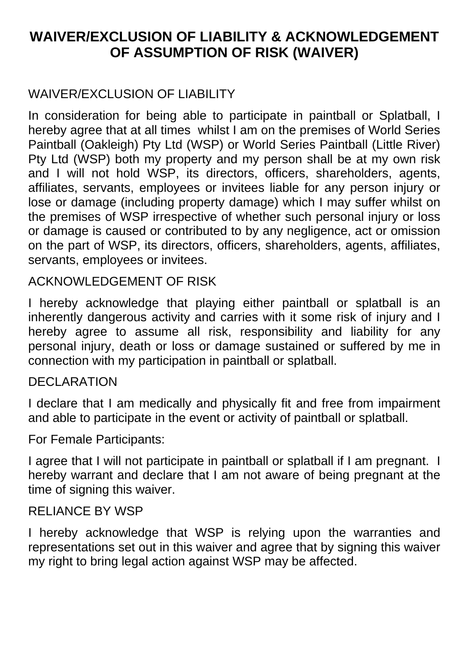# **WAIVER/EXCLUSION OF LIABILITY & ACKNOWLEDGEMENT OF ASSUMPTION OF RISK (WAIVER)**

## WAIVER/EXCLUSION OF LIABILITY

In consideration for being able to participate in paintball or Splatball, I hereby agree that at all times whilst I am on the premises of World Series Paintball (Oakleigh) Pty Ltd (WSP) or World Series Paintball (Little River) Pty Ltd (WSP) both my property and my person shall be at my own risk and I will not hold WSP, its directors, officers, shareholders, agents, affiliates, servants, employees or invitees liable for any person injury or lose or damage (including property damage) which I may suffer whilst on the premises of WSP irrespective of whether such personal injury or loss or damage is caused or contributed to by any negligence, act or omission on the part of WSP, its directors, officers, shareholders, agents, affiliates, servants, employees or invitees.

### ACKNOWLEDGEMENT OF RISK

I hereby acknowledge that playing either paintball or splatball is an inherently dangerous activity and carries with it some risk of injury and I hereby agree to assume all risk, responsibility and liability for any personal injury, death or loss or damage sustained or suffered by me in connection with my participation in paintball or splatball.

#### **DECLARATION**

I declare that I am medically and physically fit and free from impairment and able to participate in the event or activity of paintball or splatball.

For Female Participants:

I agree that I will not participate in paintball or splatball if I am pregnant. I hereby warrant and declare that I am not aware of being pregnant at the time of signing this waiver.

### RELIANCE BY WSP

I hereby acknowledge that WSP is relying upon the warranties and representations set out in this waiver and agree that by signing this waiver my right to bring legal action against WSP may be affected.